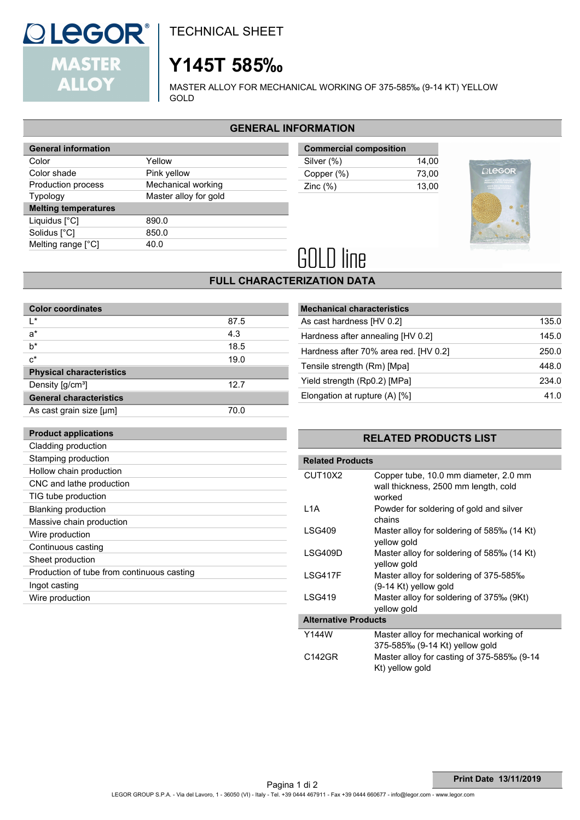

**Product applications** Cladding production Stamping production Hollow chain production CNC and lathe production TIG tube production Blanking production Massive chain production

Wire production Continuous casting Sheet production

Ingot casting Wire production

Production of tube from continuous casting

TECHNICAL SHEET

## **Y145T 585‰**

MASTER ALLOY FOR MECHANICAL WORKING OF 375-585‰ (9-14 KT) YELLOW GOLD

#### **GENERAL INFORMATION**

| <b>General information</b>  |                       |  |
|-----------------------------|-----------------------|--|
| Color                       | Yellow                |  |
| Color shade                 | Pink yellow           |  |
| Production process          | Mechanical working    |  |
| <b>Typology</b>             | Master alloy for gold |  |
|                             |                       |  |
| <b>Melting temperatures</b> |                       |  |
| Liquidus [°C]               | 890.0                 |  |
| Solidus [°C]                | 850.0                 |  |
| Melting range [°C]          | 40.0                  |  |

| <b>Commercial composition</b> |       |  |  |
|-------------------------------|-------|--|--|
| Silver (%)                    | 14.00 |  |  |
| Copper (%)                    | 73.00 |  |  |
| Zinc $(\%)$                   | 13.00 |  |  |
|                               |       |  |  |



# **GOLD line**

### **FULL CHARACTERIZATION DATA**

| <b>Color coordinates</b>        |      |  |  |  |
|---------------------------------|------|--|--|--|
| l*                              | 87.5 |  |  |  |
| $a^*$                           | 4.3  |  |  |  |
| h*                              | 18.5 |  |  |  |
| $c^*$                           | 19.0 |  |  |  |
| <b>Physical characteristics</b> |      |  |  |  |
| Density [g/cm <sup>3</sup> ]    | 12.7 |  |  |  |
| <b>General characteristics</b>  |      |  |  |  |
| As cast grain size [µm]         |      |  |  |  |

| <b>Mechanical characteristics</b>     |       |  |  |
|---------------------------------------|-------|--|--|
| As cast hardness [HV 0.2]             | 135.0 |  |  |
| Hardness after annealing [HV 0.2]     | 145.0 |  |  |
| Hardness after 70% area red. [HV 0.2] | 250.0 |  |  |
| Tensile strength (Rm) [Mpa]           | 448.0 |  |  |
| Yield strength (Rp0.2) [MPa]          | 234.0 |  |  |
| Elongation at rupture (A) [%]         | 41 N  |  |  |

#### **RELATED PRODUCTS LIST**

| <b>Related Products</b>     |                                                                                         |
|-----------------------------|-----------------------------------------------------------------------------------------|
| CUT10X2                     | Copper tube, 10.0 mm diameter, 2.0 mm<br>wall thickness, 2500 mm length, cold<br>worked |
| L <sub>1</sub> A            | Powder for soldering of gold and silver<br>chains                                       |
| <b>LSG409</b>               | Master alloy for soldering of 585‰ (14 Kt)<br>yellow gold                               |
| LSG409D                     | Master alloy for soldering of 585‰ (14 Kt)<br>yellow gold                               |
| LSG417F                     | Master alloy for soldering of 375-585‰<br>(9-14 Kt) yellow gold                         |
| <b>LSG419</b>               | Master alloy for soldering of 375‰ (9Kt)<br>yellow gold                                 |
| <b>Alternative Products</b> |                                                                                         |
| Y144W                       | Master alloy for mechanical working of<br>375-585‰ (9-14 Kt) yellow gold                |
| C142GR                      | Master alloy for casting of 375-585‰ (9-14<br>Kt) yellow gold                           |